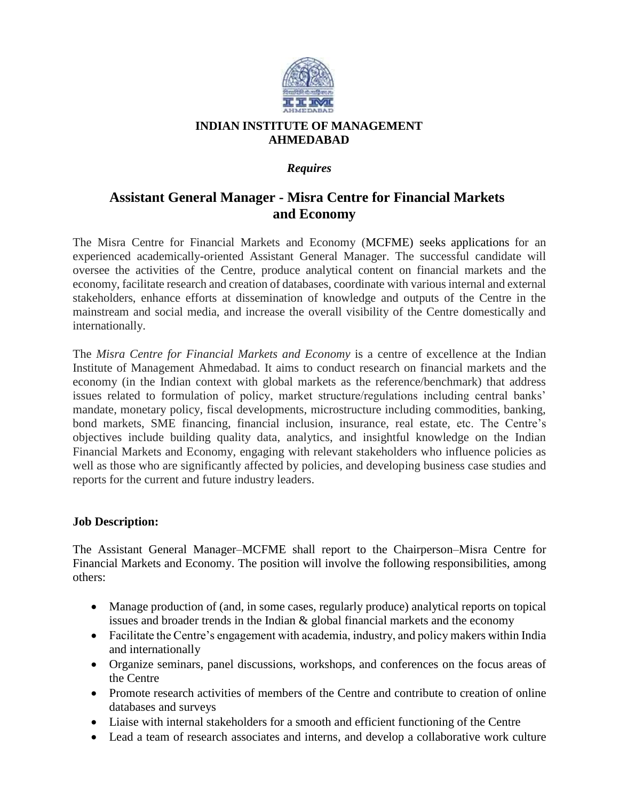

## **INDIAN INSTITUTE OF MANAGEMENT AHMEDABAD**

## *Requires*

# **Assistant General Manager - Misra Centre for Financial Markets and Economy**

The Misra Centre for Financial Markets and Economy (MCFME) seeks applications for an experienced academically-oriented Assistant General Manager. The successful candidate will oversee the activities of the Centre, produce analytical content on financial markets and the economy, facilitate research and creation of databases, coordinate with various internal and external stakeholders, enhance efforts at dissemination of knowledge and outputs of the Centre in the mainstream and social media, and increase the overall visibility of the Centre domestically and internationally.

The *Misra Centre for Financial Markets and Economy* is a centre of excellence at the Indian Institute of Management Ahmedabad. It aims to conduct research on financial markets and the economy (in the Indian context with global markets as the reference/benchmark) that address issues related to formulation of policy, market structure/regulations including central banks' mandate, monetary policy, fiscal developments, microstructure including commodities, banking, bond markets, SME financing, financial inclusion, insurance, real estate, etc. The Centre's objectives include building quality data, analytics, and insightful knowledge on the Indian Financial Markets and Economy, engaging with relevant stakeholders who influence policies as well as those who are significantly affected by policies, and developing business case studies and reports for the current and future industry leaders.

### **Job Description:**

The Assistant General Manager–MCFME shall report to the Chairperson–Misra Centre for Financial Markets and Economy. The position will involve the following responsibilities, among others:

- Manage production of (and, in some cases, regularly produce) analytical reports on topical issues and broader trends in the Indian & global financial markets and the economy
- Facilitate the Centre's engagement with academia, industry, and policy makers within India and internationally
- Organize seminars, panel discussions, workshops, and conferences on the focus areas of the Centre
- Promote research activities of members of the Centre and contribute to creation of online databases and surveys
- Liaise with internal stakeholders for a smooth and efficient functioning of the Centre
- Lead a team of research associates and interns, and develop a collaborative work culture